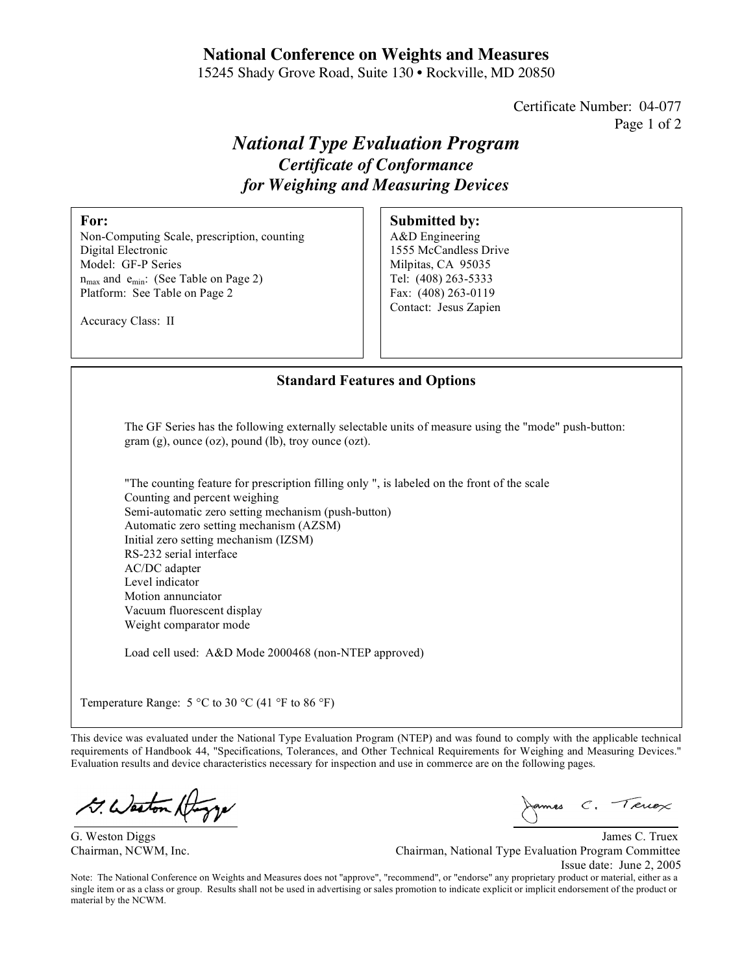# **National Conference on Weights and Measures**

15245 Shady Grove Road, Suite 130 • Rockville, MD 20850

Certificate Number: 04-077 Page 1 of 2

# *National Type Evaluation Program Certificate of Conformance for Weighing and Measuring Devices*

#### **For:**

Non-Computing Scale, prescription, counting Digital Electronic Model: GF-P Series  $n_{max}$  and  $e_{min}$ : (See Table on Page 2) Platform: See Table on Page 2

Accuracy Class: II

# **Submitted by:**

A&D Engineering 1555 McCandless Drive Milpitas, CA 95035 Tel: (408) 263-5333 Fax: (408) 263-0119 Contact: Jesus Zapien

### **Standard Features and Options**

The GF Series has the following externally selectable units of measure using the "mode" push-button: gram (g), ounce (oz), pound (lb), troy ounce (ozt).

"The counting feature for prescription filling only ", is labeled on the front of the scale Counting and percent weighing Semi-automatic zero setting mechanism (push-button) Automatic zero setting mechanism (AZSM) Initial zero setting mechanism (IZSM) RS-232 serial interface AC/DC adapter Level indicator Motion annunciator Vacuum fluorescent display Weight comparator mode

Load cell used: A&D Mode 2000468 (non-NTEP approved)

Temperature Range:  $5^{\circ}$ C to 30  $^{\circ}$ C (41  $^{\circ}$ F to 86  $^{\circ}$ F)

This device was evaluated under the National Type Evaluation Program (NTEP) and was found to comply with the applicable technical requirements of Handbook 44, "Specifications, Tolerances, and Other Technical Requirements for Weighing and Measuring Devices." Evaluation results and device characteristics necessary for inspection and use in commerce are on the following pages.

G. Weston At

James C. Terrex

G. Weston Diggs James C. Truex Chairman, NCWM, Inc. Chairman, National Type Evaluation Program Committee Issue date: June 2, 2005

Note: The National Conference on Weights and Measures does not "approve", "recommend", or "endorse" any proprietary product or material, either as a single item or as a class or group. Results shall not be used in advertising or sales promotion to indicate explicit or implicit endorsement of the product or material by the NCWM.